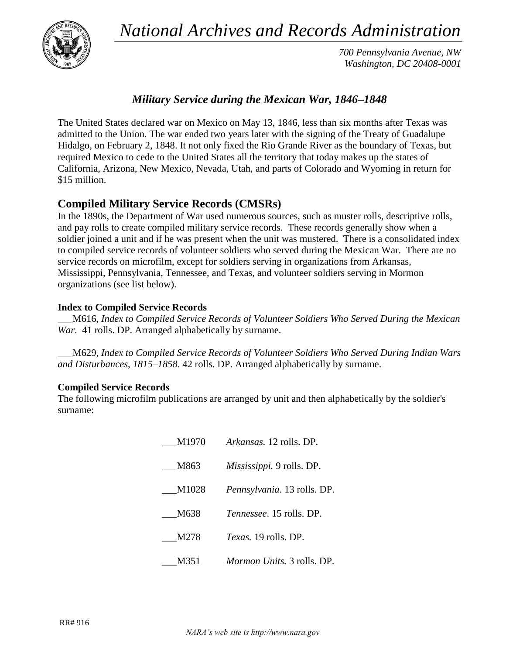*National Archives and Records Administration*



*700 Pennsylvania Avenue, NW Washington, DC 20408-0001*

# *Military Service during the Mexican War, 1846–1848*

The United States declared war on Mexico on May 13, 1846, less than six months after Texas was admitted to the Union. The war ended two years later with the signing of the Treaty of Guadalupe Hidalgo, on February 2, 1848. It not only fixed the Rio Grande River as the boundary of Texas, but required Mexico to cede to the United States all the territory that today makes up the states of California, Arizona, New Mexico, Nevada, Utah, and parts of Colorado and Wyoming in return for \$15 million.

# **Compiled Military Service Records (CMSRs)**

In the 1890s, the Department of War used numerous sources, such as muster rolls, descriptive rolls, and pay rolls to create compiled military service records. These records generally show when a soldier joined a unit and if he was present when the unit was mustered. There is a consolidated index to compiled service records of volunteer soldiers who served during the Mexican War. There are no service records on microfilm, except for soldiers serving in organizations from Arkansas, Mississippi, Pennsylvania, Tennessee, and Texas, and volunteer soldiers serving in Mormon organizations (see list below).

## **Index to Compiled Service Records**

\_\_\_M616, *Index to Compiled Service Records of Volunteer Soldiers Who Served During the Mexican War*. 41 rolls. DP. Arranged alphabetically by surname.

\_\_\_M629, *Index to Compiled Service Records of Volunteer Soldiers Who Served During Indian Wars and Disturbances, 1815–1858.* 42 rolls. DP. Arranged alphabetically by surname.

### **Compiled Service Records**

The following microfilm publications are arranged by unit and then alphabetically by the soldier's surname:

> \_\_\_M1970 *Arkansas.* 12 rolls. DP. \_\_\_M863 *Mississippi.* 9 rolls. DP. \_\_\_M1028 *Pennsylvania*. 13 rolls. DP. \_\_\_M638 *Tennessee*. 15 rolls. DP. \_\_\_M278 *Texas.* 19 rolls. DP. \_\_\_M351 *Mormon Units.* 3 rolls. DP.